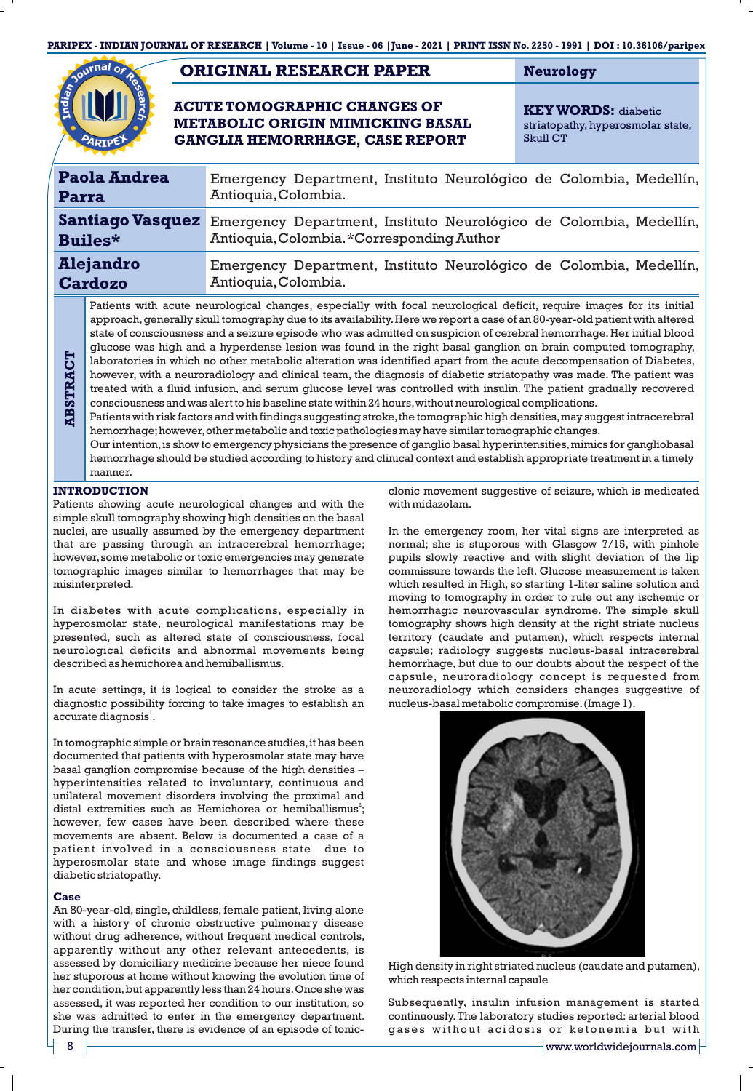**PARIPEX - INDIAN JOURNAL OF RESEARCH | Volume - 10 | Issue - 06 |June - 2021 | PRINT ISSN No. 2250 - 1991 | DOI : 10.36106/paripex**

# **ORIGINAL RESEARCH PAPER Neurology**

## **ACUTE TOMOGRAPHIC CHANGES OF METABOLIC ORIGIN MIMICKING BASAL GANGLIA HEMORRHAGE, CASE REPORT**

**KEY WORDS:** diabetic striatopathy, hyperosmolar state, Skull CT

| <b>Paola Andrea</b><br>Parra       |                                                                                                                      | Emergency Department, Instituto Neurológico de Colombia, Medellín,<br>Antioquia, Colombia.                                         |
|------------------------------------|----------------------------------------------------------------------------------------------------------------------|------------------------------------------------------------------------------------------------------------------------------------|
| <b>Builes*</b>                     |                                                                                                                      | Santiago Vasquez Emergency Department, Instituto Neurológico de Colombia, Medellín,<br>Antioquia, Colombia. * Corresponding Author |
| <b>Alejandro</b><br><b>Cardozo</b> |                                                                                                                      | Emergency Department, Instituto Neurológico de Colombia, Medellín,<br>Antioquia, Colombia.                                         |
|                                    | Patients with acute neurological changes, especially with focal neurological deficit, require images for its initial |                                                                                                                                    |

approach,generally skull tomography due to its availability.Here we report a case of an 80-year-old patient with altered state of consciousness and a seizure episode who was admitted on suspicion of cerebral hemorrhage. Her initial blood glucose was high and a hyperdense lesion was found in the right basal ganglion on brain computed tomography, laboratories in which no other metabolic alteration was identified apart from the acute decompensation of Diabetes, however, with a neuroradiology and clinical team, the diagnosis of diabetic striatopathy was made. The patient was treated with a fluid infusion, and serum glucose level was controlled with insulin. The patient gradually recovered consciousness and was alert to his baseline state within 24 hours,without neurological complications.

Patients with risk factors and with findings suggesting stroke, the tomographic high densities, may suggest intracerebral hemorrhage;however,other metabolic and toxic pathologies may have similar tomographic changes.

Our intention, is show to emergency physicians the presence of ganglio basal hyperintensities, mimics for gangliobasal hemorrhage should be studied according to history and clinical context and establish appropriate treatment in a timely manner.

## **INTRODUCTION**

**ABSTRACT**

Patients showing acute neurological changes and with the simple skull tomography showing high densities on the basal nuclei, are usually assumed by the emergency department that are passing through an intracerebral hemorrhage; however,some metabolic or toxic emergencies may generate tomographic images similar to hemorrhages that may be misinterpreted.

In diabetes with acute complications, especially in hyperosmolar state, neurological manifestations may be presented, such as altered state of consciousness, focal neurological deficits and abnormal movements being described as hemichorea and hemiballismus.

In acute settings, it is logical to consider the stroke as a diagnostic possibility forcing to take images to establish an accurate diagnosis<sup>1</sup>.

In tomographic simple or brain resonance studies, it has been documented that patients with hyperosmolar state may have basal ganglion compromise because of the high densities – hyperintensities related to involuntary, continuous and unilateral movement disorders involving the proximal and distal extremities such as Hemichorea or hemiballismus<sup>2</sup>; however, few cases have been described where these movements are absent. Below is documented a case of a patient involved in a consciousness state due to hyperosmolar state and whose image findings suggest diabetic striatopathy.

### **Case**

An 80-year-old, single, childless, female patient, living alone with a history of chronic obstructive pulmonary disease without drug adherence, without frequent medical controls, apparently without any other relevant antecedents, is assessed by domiciliary medicine because her niece found her stuporous at home without knowing the evolution time of her condition, but apparently less than 24 hours. Once she was assessed, it was reported her condition to our institution, so she was admitted to enter in the emergency department. During the transfer, there is evidence of an episode of tonicclonic movement suggestive of seizure, which is medicated with midazolam.

In the emergency room, her vital signs are interpreted as normal; she is stuporous with Glasgow 7/15, with pinhole pupils slowly reactive and with slight deviation of the lip commissure towards the left. Glucose measurement is taken which resulted in High, so starting 1-liter saline solution and moving to tomography in order to rule out any ischemic or hemorrhagic neurovascular syndrome. The simple skull tomography shows high density at the right striate nucleus territory (caudate and putamen), which respects internal capsule; radiology suggests nucleus-basal intracerebral hemorrhage, but due to our doubts about the respect of the capsule, neuroradiology concept is requested from neuroradiology which considers changes suggestive of nucleus-basal metabolic compromise.(Image 1).



High density in right striated nucleus (caudate and putamen), which respects internal capsule

Subsequently, insulin infusion management is started continuously.The laboratory studies reported: arterial blood gases without acidosis or ketonemia but with